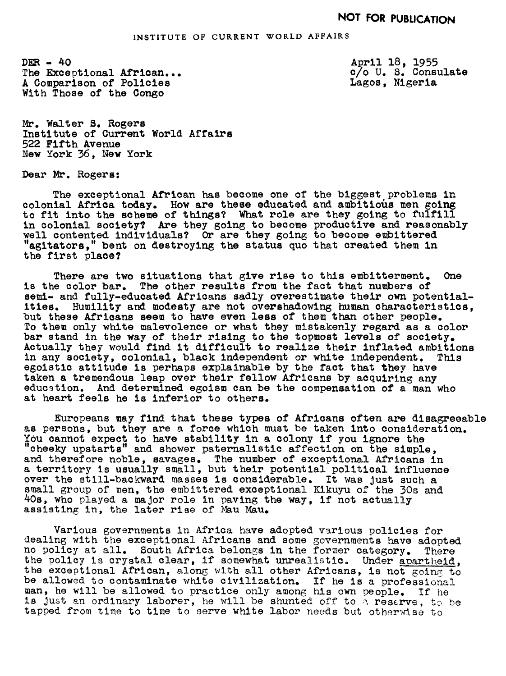DER- 40 The Exceptional African... A Comparison of Policies With Those of the Oongo

April 18, 1955 c/o U. S. Consulate Lagos, Nigeria

Mr. Walter S. Rogers Institute of Current World Affairs 522 Fifth Avenue New York 36, New York

Dear Mr. Rogers:

The exceptional African has become one of the biggest problems in colonial Africa today. How are these educated and ambitious men going to fit into the scheme of things? What role are they going to fulfill in colonial society? Are they going to become productive and reasonably well contented individuals? Or are they going to become embittered "agitators," bent on destroying the status quo that created them in the first place?

There are two situations that give rise to this embitterment. One is the color bar. The other results from the fact that numbers of semi- and fully-educated Africans sadly overestimate their own potentialities. Humility and modesty are not overshadowing human characteristics, but these Africans seem to have even less of them than other people. To them only white malevolence or what they mistakenly regard as a color bar stand in the way of their rising to the topmost levels of society. Actually they would find it difficult to realize their inflated ambitions in any society, colonial, black independent or white independent. This egoistic attitude is perhaps explainable by the fact that they have taken a tremendous leap over their fellow Africans by acquiring any education. And determined egoism can be the compensation of a man who at heart feels he is inferior to others.

Europeans may find that these types of Africans often are disagreeable as persons, but they are a force which must be taken into consideration. YOU cannot expect to have stability in a colony if you ignore the "cheeky upstarts" and shower paternalistic affection on the simple, and therefore noble, savages. The number of exceptional Africans in a territory is usually small, but their potential political Influence over the still-backward masses is considerable. It was Just such a small group of men, the embittered exceptional Kikuyu of the 3Os and 40s, who played a major role in paving the way, if not actually assisting in, the later rise of Mau Man.

Various governments in Africa have adopted various policies for dealing with the exceptional Africans and some governments have adopted no policy at all. South Africa belongs in the former category. There no policy at all. South Africa belongs in the former category. There the policy is crystal clear, if somewhat unrealistic. Under apartheid. the exceptional African, along with all other Africans, is not going to be allowed to contaminate white civilization. If he is a professional man, he will be allowed to practice only among his own people. If he is just an ordinary laborer, he will be shunted off to  $\alpha$  reserve, to be tapped from time to time to serve white labor needs but otherwise to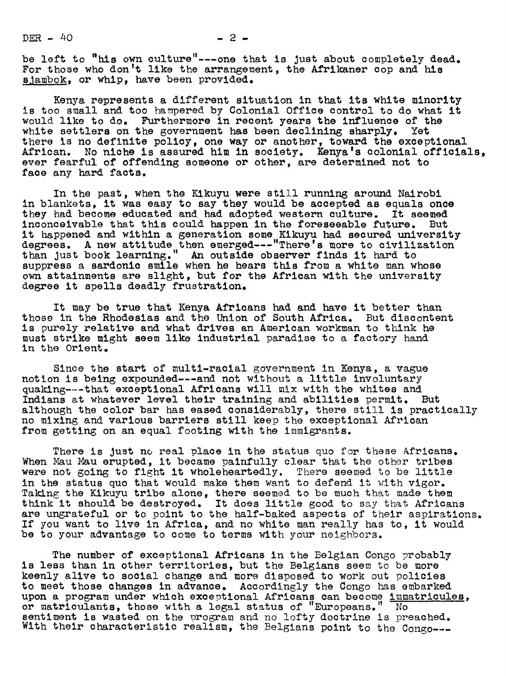$DER - 40$   $- 2 -$ 

be left to "his own culture"--one that is Just about completely dead. For those who don't like the arrangement, the Afrikaner cop and his sjambok, or whip, have been provided.

Kenya represents a different situation in that its white minority is too small and too hampered by Colonial Office control to do what it would llke to do. Furthermore in recent years the influence of the white settlers on the government has been declining sharply. Yet there is no definite policy, one way or another, toward the exceptional African. No niche is assured him in society. Kenya's colonial officials, ever fearful of offending someone or other, are determined not to face any hard facts.

In the past, when the Kikuyu were still running around Nairobi in blankets, it was easy to say they would be accepted as equals once they had become educated and had adopted western culture. It seemed inconceivable that this could happen in the foreseeable future. But it happened and within a generation some Kikuyu had secured university degrees. A new attitude then emerged---"There's more to civilization than Just book learning." An outside observer finds it hard to suppress a sardonic smile when he hears this from a white man whose own attainments are slight, but for the African with the university degree it spells deadly frustration.

It may be true that Kenya Africans had and have it better than those in the Rhodesias and the Union of South Africa. But discontent is purely relative and what drives an American workman to think he must strike might seem like industrial paradise to a factory hand in the Orient.

Since the start of multi-racial government in Kenya, a vague notion is being expounded---and not without a little involuntary quaking--that exceptional Africans will mix with the whites and Indians at whatever level their training and abilities permit. But although the color bar has eased considerably, there still is practically no mixing and various barriers still keep the exceptional African from getting on an equal footing with the immigrants.

There is Just no real place in the status quo for these Africans. When Mau Mau erupted, it became painfully clear that the other tribes were not going to fight it wholeheartedly. There seemed to be little in the status quo that would make them want to defend it with vigor. Taking the Kikuyu tribe alone, there seemed to be much that made them think it should be destroyed. It does little good to say that Africans are ungrateful or to point to the half-baked aspects of their aspirations. If you want to live in Africa, and no white man really has to, it would be to your advantage to come to terms with your neighbors.

The number of exceptional Africans in the Belgian Congo probably is less than in other territories, but the Belgians seem to be more keenly alive to social change and more disposed to work out policies to meet those changes in advance. Accordingly the Congo has embarked upon a program under which exceptional Africans can become immatricules, or matriculants, those with a legal status of "Europeans."  $\overline{\phantom{a}}$  No sentiment is wasted on the program and no lofty doctrine is preached. With their characteristic realism, the Belgians point to the Congo---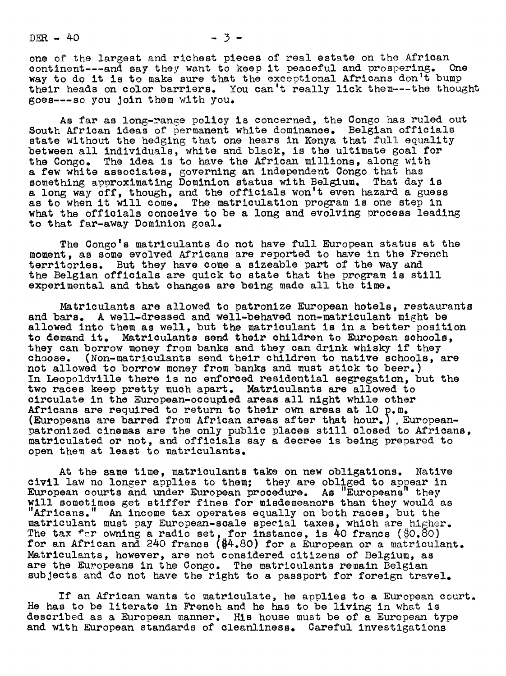$DER - 40$   $-3-$ 

one of the largest and richest pieces of real estate on the African continent---and say they want to keep it peaceful and prospering. One way to do it is to make sure that the exceptional Africans don't bump their heads on color barriers. You can't really lick them---the thought goes---so you Join them with you.

As far as long-range policy is concerned, the Congo has ruled out South African ideas of permanent white dominance. Belgian officials state without the hedging that one hears in Kenya that full equality between all individuals, white and black, is the ultimate goal for the Congo. The idea is to have the African millions, along with a few white associates, governing an independent Congo that has something approximating Dominion status with Belgium. That day is a long way off, though, and the officials won't even hazard a guess as to when it will come. The matriculation program is one step in what the officials conceive to be a long and evolving process leading to that far-away Dominion goal.

The Congo's matriculants do not have full European status at the moment, as some evolved Africans are reported to have in the French territories. But they have come a sizeable part of the way and the Belgian officials are quick to state that the program is still experimental and that changes are being made all the time.

Matriculants are allowed to patronize European hotels, restaurants and bars. A well-dressed and well-behaved non-matriculant might be allowed into them as well, but the matriculant is in a better position to demand it. Matriculants send their children to European schools, they can borrow money from banks and they can drink whisky if they choose. (Non-matriculants send their children to native schools, are not allowed to borrow money from banks and must stick to beer.) In Leopoldville there is no enforced residential segregation, but the two races keep pretty much apart. Matriculants are allowed to circulate in the European-occupied areas all night while other Africans are required to return to their own areas at lO p.m. (Europeans are barred from African areas after that hour.) Europeanpatronized cinemas are the only public places still closed to Africans, matriculated or not, and officials say a decree is being prepared to open them at least to matriculants.

At the same time, matriculants take on new obligations. Native civil law no longer applies to them; they are obliged to appear in European courts and under European procedure. As "Europeans" they will sometimes get stiffer fines for misdemeanors than they would as "Africans." An income tax operates equally on both races, but the matriculant must pay European-scale special taxes, which are higher. The tax for owning a radio set, for instance, is 40 francs (\$0.80) for an African and 240 francs (\$4.80) for a European or a matriculant. Matriculants, however, are not considered citizens of Belgium, as are the Europeans in the Congo. The matriculants remain Belgian subjects and do not have the right to a passport for foreign travel.

If an African wants to matriculate, he applies to a European court He has to be literate in French and he has to be living in what is described as a European manner. His house must be of a European type and with European standards of cleanliness. Careful investigations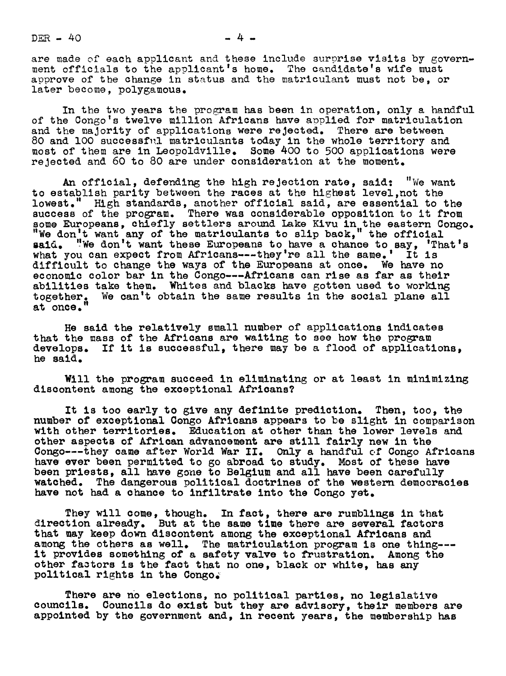$DER - 40$ 

are made of each applicant and these include surprise visits by government officials to the applicant's home. The candidate's wife must approve of the change in status and the matriculant must not be, or later become, polygamous.

In the two years the program has been in operation, only a handful of the Congo's twelve million Africans have applied for matriculation and the majority of applications were rejected. There are between 80 and 100 successful matriculants today in the whole territory and most of them are in Leopoldville. Some 400 to 500 applications were rejected and 60 to 80 are under consideration at the moment.

An official, defending the high rejection rate, said: "We want to establish parity between the races at the highest level,mot the lowest." High standards, another official said, are essential to the success of the program. There was considerable opposition to it from some Europeans, chiefly settlers around Lake Kivu in the eastern Congo.<br>"We don't want any of the matriculants to slip back," the official aid. "We don't want these Europeans to have a chance to say, 'That's what you can expect from Africans---they're all the same.' It is difficult to change the ways of the Europeans at once. We have no economic color bar in the Congo---Africans can rise as far as their abilities take them. Whites and blacks have gotten used to working We can't obtain the same results in the social plane all together.<br>at once."

He said the relatively small number of applications indicates that the mass of the Africans are waiting to see how the program develops. If it is successful, there may be a flood of applications, he said.

Will the program succeed in eliminating or at least in minimizing discontent among the exceptional Africans?

It is too early to give any definite prediction. Then, too, the number of exceptional Gongo Africans appears to be Slight in comparison with other territories. Education at other than the lower levels and other aspects of African advancement are still fairly new in the Congo---they came after World War II. Only a handful of Congo Africans have ever been permitted to go abroad to study. Most of these have been priests, all ave gone to Belgium and all have been carefully watched. The dangerous political doctrines of the western democracies have not had a chance to infiltrate into the Congo yet.

They will come, though. In fact, there are rumblings in that direction already. But at the same time there are several factors that may keep down discontent among the exceptional Africans and among the others as well. The matriculation program is one thing-- it provides something of a safety valve to frustration. Among the other factors is the fact that no one, black or white, has any political rights in the Congos

There are no elections, no political parties, no legislative councils. Councils do exist but they are advisory, their members are appointed by the government and, in recent years, the membership has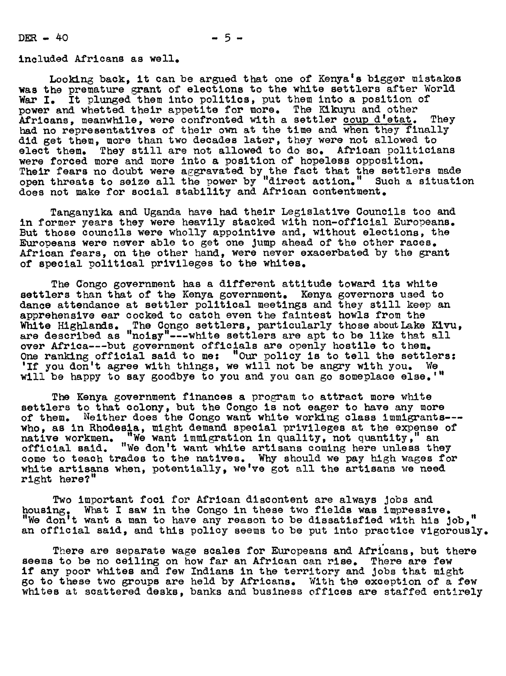$DER - 40$   $-5-$ 

included Africans as well

Looking back, it can be argued that one of Kenya's bigger mistakes was the premature grant of elections to the white settlers after World War I. It plunged them into politics, put them into a position of power and whetted their appetite for more. The Kikuyu and other Africans, meanwhile, were confronted with a settler coup d'etat. They had no representatives of their own at the time and when they finally did get them, more than two decades later, they were not allowed to elect them. They still are not allowed to do so. African politicians were forced more and more into a position of hopeless opposition. Their fears no doubt were aggravated by the fact that the settlers made<br>open threats to seize all the power by "direct action." Such a situation does not make for social stability and African contentment.

Tanganyika and Uganda have had their Legislative Councils too and in former years they were heavily stacked with non-officlal Europeans. But those councils were wholly appointive and, without elections, the Europeans were never able to get one Jump ahead of the other races. African fears, on the other hand, were never exacerbated by the grant of special political privileges to the whites.

The Congo government has a different attitude toward its white settlers than that of the Kenya government. Kenya governors used to dance attendance at settler political meetings and they still keep an apprehensive ear cocked to catch even the falutest howls from the White Highlands. The Congo settlers, particularly those about Lake Kivu, are described as "noisy"---white settlers are apt to be like that all over Africa---but government officials are openly hostile to them. One ranking official said to me: "Our policy is to tell the settlers: 'If you don't agree with things, we will not be angry with you. We will be happy to say goodbye to you and you can go someplace else.'"

The Kenya government finances a program to attract more white settlers to that colony, but the Congo is not eager to have any more of them. Neither does the Congo want white working class immigrants-- who, as in Rhodesia, might demand special privileges at the expense of native workmen. "We want immigration in quality, not quantity," an native workmen. "We want immigration in quality, not quantity," an official said. "We don't want white artisans coming here unless they come to teach trades to the natives. Why should we pay high wages for white artisans when, potentially, we've got all the artisans we need right here?"

Two important foci for African discontent are always Jobs and housing. What I saw in the Congo in these two fields was impressive. "We don't want a man to have any reason to be dissatisfied with his Job," an official said, and this policy seems to be put into practice vigorously.

There are separate wage scales for Europeans and Africans, but there seems to be no ceiling on how far an African can rise. There are few if any poor whites and few Indians in the territory and Jobs that might go to these two groups are held by Africans. With the exception of a few whites at scattered desks, banks and business offices are staffed entirely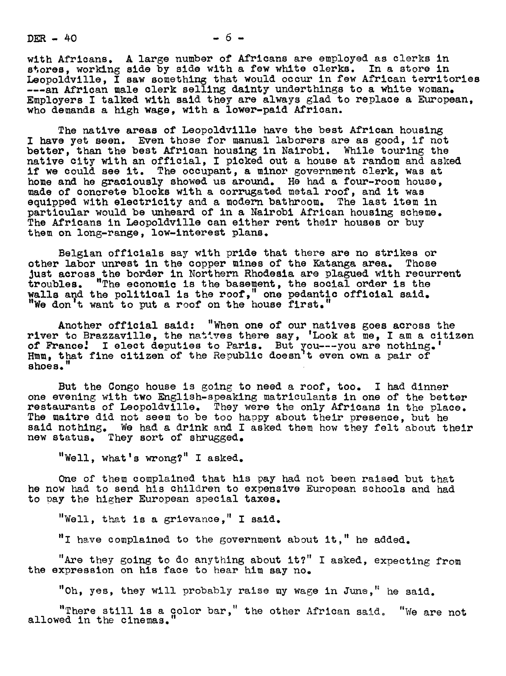$DER - 40 - 6 -$ 

with Africans. A large number of Africans are employed as clerks in stores, working side by side with a few white clerks. In a store in Leopoldville, I saw something that would occur in few African territories ---an African male clerk selling dainty underthings to a white woman. Employers I talked with said they are always glad to replace a European, who demands a high wage, with a lower-paid African.

The native areas of Leopoldville have the best African housing I have yet seen. Even those for manual laborers are as good, if not better, than the best African housing in Nairobl. While touring the native city with an official, I picked out a house at random and asked if we could see it. The occupant, a minor government clerk, was at home and he graciously showed us around. He had a four-room house, made of concrete blocks with a corrugated metal roof, and it was equipped with electricity and a modern bathroom. The last item in particular would be unheard of in a Nairobi African housing scheme. The Africans in Leopoldville can either rent their houses or buy them on long-range, low-interest plans.

Belgian officials say with pride that there are no strikes or other labor unrest in the copper mines of the Katanga area. Those Just across the border in Northern Rhodesia are plagued with recurrent troubles. "The economic is the basement, the social order is the walls and the political is the roof," one pedantic official said. "We don't want to put a roof on the house first."

Another official said: "When one of our natives goes across the river to Brazzaville, the natives there say, 'Look at me, I am a citizen of France.' I elect deputies to Paris. But you---you are nothing.' Hmm, that fine citizen of the Republic doesn't even own a pair of shoes.

But the Congo house is going to need a roof, too. I had dinner one evening with two English-speaklng matriculants in one of the better restaurants of Leopoldville. They were the only Africans in the place. The maitre did not seem to be too happy about their presence, but he said nothing. We had a drink and I asked them how they felt about their new status. They sort of shrugged.

"Well, what's wrong?" I asked.

One of them complained that his pay had not been raised but that he now had to send his children to expensive European schools and had to pay the higher European special taxes.

"Well, that is a grievance." I said.

 $"I$  have complained to the government about it," he added.

"Are they going to do anything about it?" <sup>I</sup> asked, expecting from the expression on his face to hear him say no.

"Oh, yes, they will probably raise my wage in June." he said.

"There still is a color bar," the other African said. "We are not allowed in the cinemas.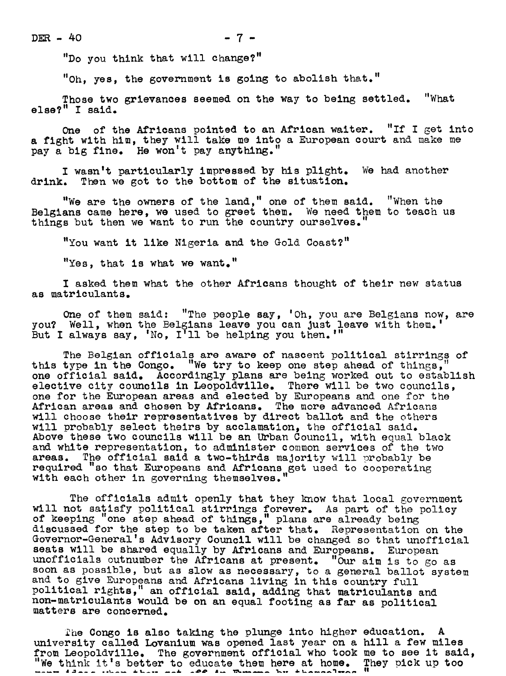"Do you think that will change?"

"Oh, yes, the government is going to abolish that."

Those two grievances seemed on the way to being settled. "What else?" I said.

One of the Africans pointed to an African waiter. "If <sup>I</sup> get into a fight with him, they will take me into a European court and make me pay a big fine. He won't pay anything.

I wasn't particularly impressed by his plight. We had another drink. Then we got to the bottom of the situation.

"We are the owners of the land," one of them said. "When the Belgians came here, we used to greet them. We need them to teach us things but then we want to run the country ourselves."

"You want it like Nigeria and the Gold Coast?"

"Yes, that is what we want."

I asked them what the other Africans thought of their new status as matriculants.

One of them said: "The people say, 'Oh, you are Belgians now, are you? Well, when the Belgians leave you can Just leave with them. But I always say, 'No, I'll be helping you then.'"

The Belgian officials are aware of nascent political stirrings of this type in the Congo. "We try to keep one step ahead of things, one official said. Accordingly plans are being worked out to establish elective city councils in Leopoldville. There will be two councils, one for the European areas and elected by Europeans and one for the African areas and chosen by Africans. The more advanced Africans will choose their representatives by direct ballot and the others will probably select theirs by acclamation, the official said. Above these two councils will be an Urban Council, with equal black and white representation, to administer common services of the two areas. The official said a two-thirds majority will probably be The official said a two-thirds majority will probably be required "so that Europeans and Africans get used to cooperating with each other in governing themselves."

The officials admit openly that they know that local government will not satisfy political stirrings forever. As part of the policy of keeping "one step ahead of thlngs, " plans are already being discussed for the step to be taken after that. Representation on the Governor-General's Advisory Council will be changed so that unofficial seats will be shared equally by Africans and Europeans. European unofficials outnumber the Africans at present. "Our aim is to go as soon as possible, but as slow as necessary, to a general ballot system and to give Europeans and Africans living in this country full political rights," an official said, adding that matriculants and non-matriculants would be en au equal footing as far as political matters are concened.

The Congo is also taking the plunge into higher education. university called Lovanium was opened last year on a hill a few miles from Leopoldville. The government official who took me to see it said, We think it's better to educate them here at home. They pick up too